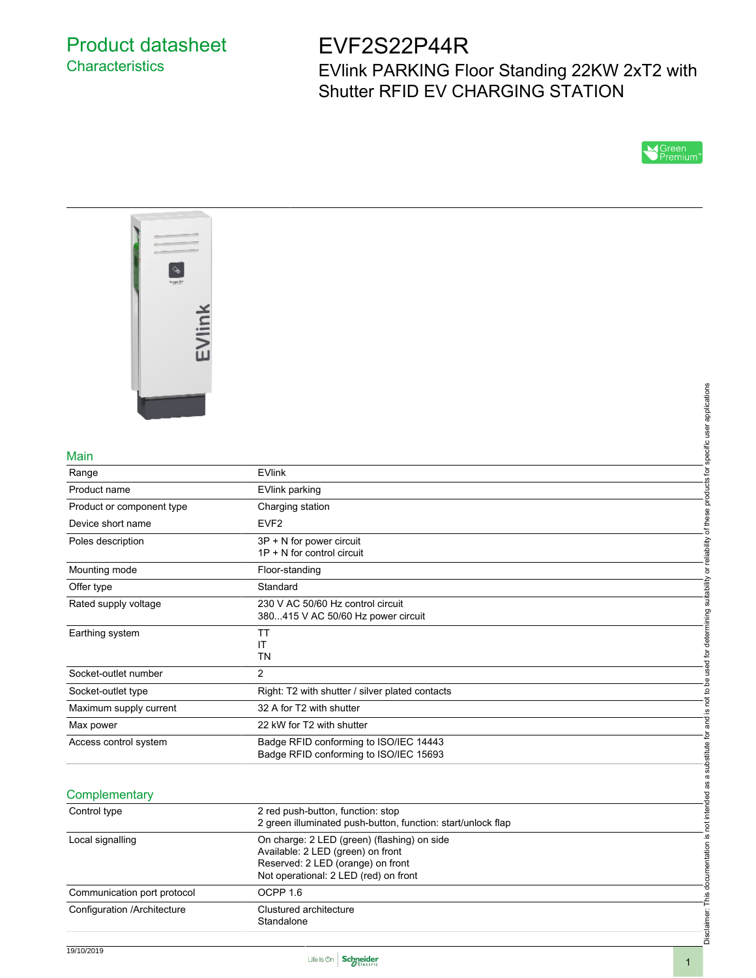## Product datasheet **Characteristics**

# EVF2S22P44R

EVlink PARKING Floor Standing 22KW 2xT2 with Shutter RFID EV CHARGING STATION





#### Main

|                             |                                                                                                                                                                | applications                      |
|-----------------------------|----------------------------------------------------------------------------------------------------------------------------------------------------------------|-----------------------------------|
|                             |                                                                                                                                                                |                                   |
| Main                        |                                                                                                                                                                | specific user                     |
| Range                       | <b>EVlink</b>                                                                                                                                                  |                                   |
| Product name                | <b>EVlink parking</b>                                                                                                                                          | products for                      |
| Product or component type   | Charging station                                                                                                                                               |                                   |
| Device short name           | EVF <sub>2</sub>                                                                                                                                               | of these                          |
| Poles description           | 3P + N for power circuit<br>1P + N for control circuit                                                                                                         | or reliability                    |
| Mounting mode               | Floor-standing                                                                                                                                                 |                                   |
| Offer type                  | Standard                                                                                                                                                       | suitability                       |
| Rated supply voltage        | 230 V AC 50/60 Hz control circuit<br>380415 V AC 50/60 Hz power circuit                                                                                        |                                   |
| Earthing system             | TT<br>IT<br><b>TN</b>                                                                                                                                          | used for determining              |
| Socket-outlet number        | $\overline{2}$                                                                                                                                                 |                                   |
| Socket-outlet type          | Right: T2 with shutter / silver plated contacts                                                                                                                | ed<br>Q<br>not to b               |
| Maximum supply current      | 32 A for T2 with shutter                                                                                                                                       | <u>.ഗ</u>                         |
| Max power                   | 22 kW for T2 with shutter                                                                                                                                      | ang<br>a                          |
| Access control system       | Badge RFID conforming to ISO/IEC 14443<br>Badge RFID conforming to ISO/IEC 15693                                                                               | substitute for                    |
| Complementary               |                                                                                                                                                                | not intended as a                 |
| Control type                | 2 red push-button, function: stop<br>2 green illuminated push-button, function: start/unlock flap                                                              |                                   |
| Local signalling            | On charge: 2 LED (green) (flashing) on side<br>Available: 2 LED (green) on front<br>Reserved: 2 LED (orange) on front<br>Not operational: 2 LED (red) on front | Disclaimer: This documentation is |
| Communication port protocol | OCPP <sub>1.6</sub>                                                                                                                                            |                                   |
| Configuration /Architecture | Clustured architecture<br>Standalone                                                                                                                           |                                   |

### **Complementary**

| Control type                | 2 red push-button, function: stop<br>2 green illuminated push-button, function: start/unlock flap                                                              |
|-----------------------------|----------------------------------------------------------------------------------------------------------------------------------------------------------------|
| Local signalling            | On charge: 2 LED (green) (flashing) on side<br>Available: 2 LED (green) on front<br>Reserved: 2 LED (orange) on front<br>Not operational: 2 LED (red) on front |
| Communication port protocol | OCPP 1.6                                                                                                                                                       |
| Configuration /Architecture | Clustured architecture<br>Standalone                                                                                                                           |



Disclaimer: This documentation is not intended as a substitute for and is not to be used for determining suitability or reliability of these products for specific user applications